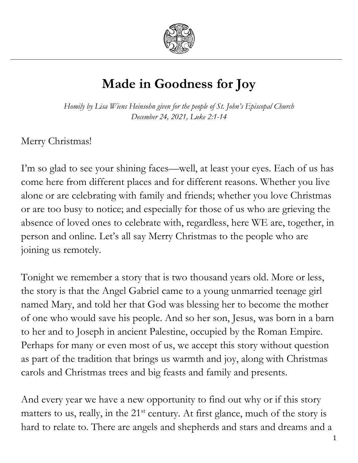

## **Made in Goodness for Joy**

*Homily by Lisa Wiens Heinsohn given for the people of St. John's Episcopal Church December 24, 2021, Luke 2:1-14*

Merry Christmas!

I'm so glad to see your shining faces—well, at least your eyes. Each of us has come here from different places and for different reasons. Whether you live alone or are celebrating with family and friends; whether you love Christmas or are too busy to notice; and especially for those of us who are grieving the absence of loved ones to celebrate with, regardless, here WE are, together, in person and online. Let's all say Merry Christmas to the people who are joining us remotely.

Tonight we remember a story that is two thousand years old. More or less, the story is that the Angel Gabriel came to a young unmarried teenage girl named Mary, and told her that God was blessing her to become the mother of one who would save his people. And so her son, Jesus, was born in a barn to her and to Joseph in ancient Palestine, occupied by the Roman Empire. Perhaps for many or even most of us, we accept this story without question as part of the tradition that brings us warmth and joy, along with Christmas carols and Christmas trees and big feasts and family and presents.

And every year we have a new opportunity to find out why or if this story matters to us, really, in the 21<sup>st</sup> century. At first glance, much of the story is hard to relate to. There are angels and shepherds and stars and dreams and a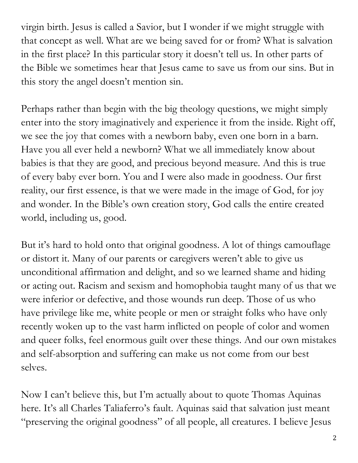virgin birth. Jesus is called a Savior, but I wonder if we might struggle with that concept as well. What are we being saved for or from? What is salvation in the first place? In this particular story it doesn't tell us. In other parts of the Bible we sometimes hear that Jesus came to save us from our sins. But in this story the angel doesn't mention sin.

Perhaps rather than begin with the big theology questions, we might simply enter into the story imaginatively and experience it from the inside. Right off, we see the joy that comes with a newborn baby, even one born in a barn. Have you all ever held a newborn? What we all immediately know about babies is that they are good, and precious beyond measure. And this is true of every baby ever born. You and I were also made in goodness. Our first reality, our first essence, is that we were made in the image of God, for joy and wonder. In the Bible's own creation story, God calls the entire created world, including us, good.

But it's hard to hold onto that original goodness. A lot of things camouflage or distort it. Many of our parents or caregivers weren't able to give us unconditional affirmation and delight, and so we learned shame and hiding or acting out. Racism and sexism and homophobia taught many of us that we were inferior or defective, and those wounds run deep. Those of us who have privilege like me, white people or men or straight folks who have only recently woken up to the vast harm inflicted on people of color and women and queer folks, feel enormous guilt over these things. And our own mistakes and self-absorption and suffering can make us not come from our best selves.

Now I can't believe this, but I'm actually about to quote Thomas Aquinas here. It's all Charles Taliaferro's fault. Aquinas said that salvation just meant "preserving the original goodness" of all people, all creatures. I believe Jesus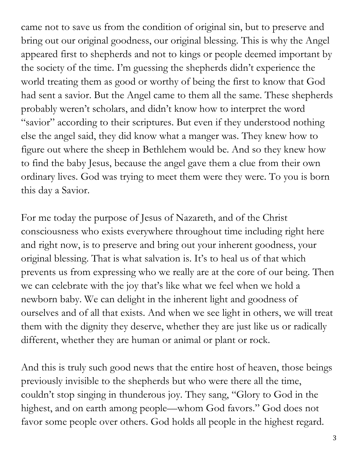came not to save us from the condition of original sin, but to preserve and bring out our original goodness, our original blessing. This is why the Angel appeared first to shepherds and not to kings or people deemed important by the society of the time. I'm guessing the shepherds didn't experience the world treating them as good or worthy of being the first to know that God had sent a savior. But the Angel came to them all the same. These shepherds probably weren't scholars, and didn't know how to interpret the word "savior" according to their scriptures. But even if they understood nothing else the angel said, they did know what a manger was. They knew how to figure out where the sheep in Bethlehem would be. And so they knew how to find the baby Jesus, because the angel gave them a clue from their own ordinary lives. God was trying to meet them were they were. To you is born this day a Savior.

For me today the purpose of Jesus of Nazareth, and of the Christ consciousness who exists everywhere throughout time including right here and right now, is to preserve and bring out your inherent goodness, your original blessing. That is what salvation is. It's to heal us of that which prevents us from expressing who we really are at the core of our being. Then we can celebrate with the joy that's like what we feel when we hold a newborn baby. We can delight in the inherent light and goodness of ourselves and of all that exists. And when we see light in others, we will treat them with the dignity they deserve, whether they are just like us or radically different, whether they are human or animal or plant or rock.

And this is truly such good news that the entire host of heaven, those beings previously invisible to the shepherds but who were there all the time, couldn't stop singing in thunderous joy. They sang, "Glory to God in the highest, and on earth among people—whom God favors." God does not favor some people over others. God holds all people in the highest regard.